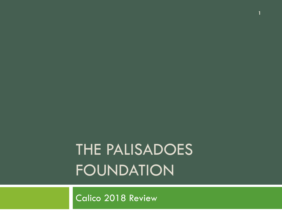# THE PALISADOES FOUNDATION

**1**

Calico 2018 Review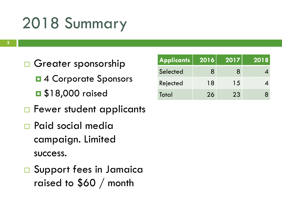## 2018 Summary

- □ Greater sponsorship
	- $\blacksquare$  **4 Corporate Sponsors**
	- **0** \$18,000 raised
- □ Fewer student applicants
- Paid social media campaign. Limited success.
- **□ Support fees in Jamaica** raised to \$60 / month

| <b>Applicants</b> | 2016 | 2017 | 2018 |
|-------------------|------|------|------|
| Selected          | x    | 8    |      |
| Rejected          | 18   | 15   |      |
| Total             | 26   | 23   |      |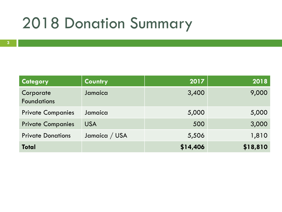#### 2018 Donation Summary

| <b>Category</b>                 | Country       | 2017     | 2018     |
|---------------------------------|---------------|----------|----------|
| Corporate<br><b>Foundations</b> | Jamaica       | 3,400    | 9,000    |
| <b>Private Companies</b>        | Jamaica       | 5,000    | 5,000    |
| <b>Private Companies</b>        | <b>USA</b>    | 500      | 3,000    |
| <b>Private Donations</b>        | Jamaica / USA | 5,506    | 1,810    |
| <b>Total</b>                    |               | \$14,406 | \$18,810 |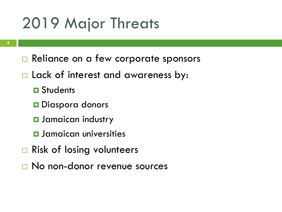#### 2019 Major Threats

- Reliance on a few corporate sponsors
- □ Lack of interest and awareness by:
	- **O** Students
	- **D** Diaspora donors
	- **D** Jamaican industry
	- **<u>E</u>** Jamaican universities
- **□ Risk of losing volunteers**
- □ No non-donor revenue sources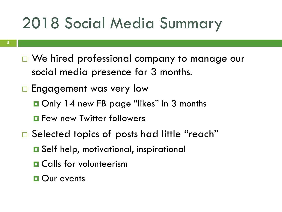## 2018 Social Media Summary

- □ We hired professional company to manage our social media presence for 3 months.
- **Engagement was very low** 
	- Only 14 new FB page "likes" in 3 months
	- **Few new Twitter followers**
- □ Selected topics of posts had little "reach"
	- **□** Self help, motivational, inspirational
	- **O** Calls for volunteerism
	- **D** Our events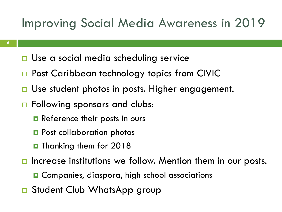#### Improving Social Media Awareness in 2019

- □ Use a social media scheduling service
- □ Post Caribbean technology topics from CIVIC
- □ Use student photos in posts. Higher engagement.
- □ Following sponsors and clubs:
	- **Reference their posts in ours**
	- **Post collaboration photos**
	- **D** Thanking them for 2018
- $\Box$  Increase institutions we follow. Mention them in our posts.
	- **□** Companies, diaspora, high school associations
- □ Student Club WhatsApp group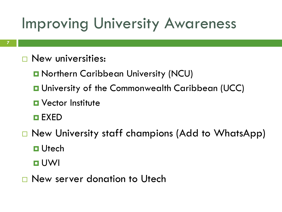#### Improving University Awareness

- **New universities:** 
	- **D** Northern Caribbean University (NCU)
	- **u** University of the Commonwealth Caribbean (UCC)
	- **D** Vector Institute
	- EXED
- □ New University staff champions (Add to WhatsApp)
	- **D** Utech
	- UWI
- New server donation to Utech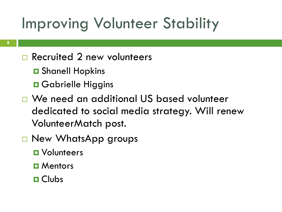# Improving Volunteer Stability

#### □ Recruited 2 new volunteers

- **O** Shanell Hopkins
- **O** Gabrielle Higgins
- We need an additional US based volunteer dedicated to social media strategy. Will renew VolunteerMatch post.
- □ New WhatsApp groups
	- **D** Volunteers
	- **D** Mentors
	- **O** Clubs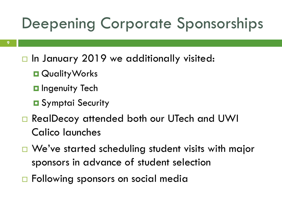## Deepening Corporate Sponsorships

- $\Box$  In January 2019 we additionally visited:
	- **QualityWorks**
	- **<u><b>O**</u> Ingenuity Tech
	- **O** Symptai Security
- □ RealDecoy attended both our UTech and UWI Calico launches
- □ We've started scheduling student visits with major sponsors in advance of student selection
- □ Following sponsors on social media